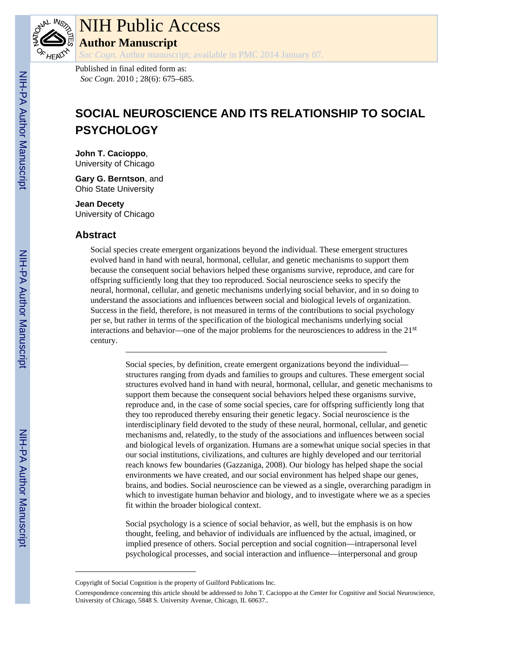

## NIH Public Access **Author Manuscript**

*Soc Cogn*. Author manuscript; available in PMC 2014 January 07.

Published in final edited form as: *Soc Cogn*. 2010 ; 28(6): 675–685.

# **SOCIAL NEUROSCIENCE AND ITS RELATIONSHIP TO SOCIAL PSYCHOLOGY**

**John T. Cacioppo**, University of Chicago

**Gary G. Berntson**, and Ohio State University

**Jean Decety** University of Chicago

#### **Abstract**

Social species create emergent organizations beyond the individual. These emergent structures evolved hand in hand with neural, hormonal, cellular, and genetic mechanisms to support them because the consequent social behaviors helped these organisms survive, reproduce, and care for offspring sufficiently long that they too reproduced. Social neuroscience seeks to specify the neural, hormonal, cellular, and genetic mechanisms underlying social behavior, and in so doing to understand the associations and influences between social and biological levels of organization. Success in the field, therefore, is not measured in terms of the contributions to social psychology per se, but rather in terms of the specification of the biological mechanisms underlying social interactions and behavior—one of the major problems for the neurosciences to address in the 21st century.

> Social species, by definition, create emergent organizations beyond the individual structures ranging from dyads and families to groups and cultures. These emergent social structures evolved hand in hand with neural, hormonal, cellular, and genetic mechanisms to support them because the consequent social behaviors helped these organisms survive, reproduce and, in the case of some social species, care for offspring sufficiently long that they too reproduced thereby ensuring their genetic legacy. Social neuroscience is the interdisciplinary field devoted to the study of these neural, hormonal, cellular, and genetic mechanisms and, relatedly, to the study of the associations and influences between social and biological levels of organization. Humans are a somewhat unique social species in that our social institutions, civilizations, and cultures are highly developed and our territorial reach knows few boundaries (Gazzaniga, 2008). Our biology has helped shape the social environments we have created, and our social environment has helped shape our genes, brains, and bodies. Social neuroscience can be viewed as a single, overarching paradigm in which to investigate human behavior and biology, and to investigate where we as a species fit within the broader biological context.

Social psychology is a science of social behavior, as well, but the emphasis is on how thought, feeling, and behavior of individuals are influenced by the actual, imagined, or implied presence of others. Social perception and social cognition—intrapersonal level psychological processes, and social interaction and influence—interpersonal and group

Copyright of Social Cognition is the property of Guilford Publications Inc.

Correspondence concerning this article should be addressed to John T. Cacioppo at the Center for Cognitive and Social Neuroscience, University of Chicago, 5848 S. University Avenue, Chicago, IL 60637..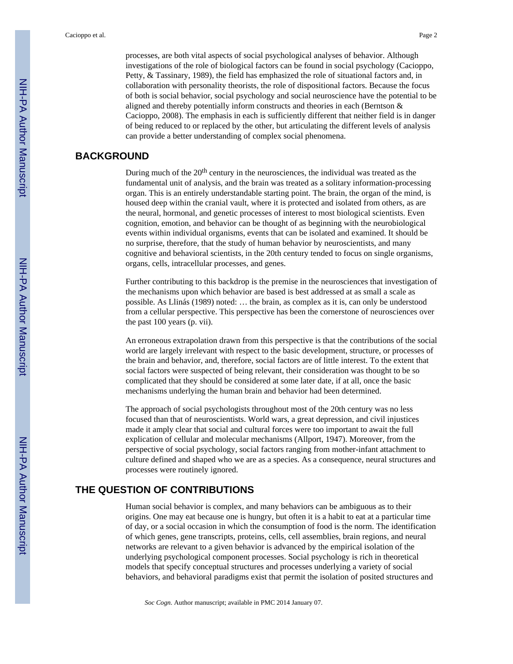processes, are both vital aspects of social psychological analyses of behavior. Although investigations of the role of biological factors can be found in social psychology (Cacioppo, Petty, & Tassinary, 1989), the field has emphasized the role of situational factors and, in collaboration with personality theorists, the role of dispositional factors. Because the focus of both is social behavior, social psychology and social neuroscience have the potential to be aligned and thereby potentially inform constructs and theories in each (Berntson & Cacioppo, 2008). The emphasis in each is sufficiently different that neither field is in danger of being reduced to or replaced by the other, but articulating the different levels of analysis can provide a better understanding of complex social phenomena.

#### **BACKGROUND**

During much of the 20<sup>th</sup> century in the neurosciences, the individual was treated as the fundamental unit of analysis, and the brain was treated as a solitary information-processing organ. This is an entirely understandable starting point. The brain, the organ of the mind, is housed deep within the cranial vault, where it is protected and isolated from others, as are the neural, hormonal, and genetic processes of interest to most biological scientists. Even cognition, emotion, and behavior can be thought of as beginning with the neurobiological events within individual organisms, events that can be isolated and examined. It should be no surprise, therefore, that the study of human behavior by neuroscientists, and many cognitive and behavioral scientists, in the 20th century tended to focus on single organisms, organs, cells, intracellular processes, and genes.

Further contributing to this backdrop is the premise in the neurosciences that investigation of the mechanisms upon which behavior are based is best addressed at as small a scale as possible. As Llinás (1989) noted: … the brain, as complex as it is, can only be understood from a cellular perspective. This perspective has been the cornerstone of neurosciences over the past 100 years (p. vii).

An erroneous extrapolation drawn from this perspective is that the contributions of the social world are largely irrelevant with respect to the basic development, structure, or processes of the brain and behavior, and, therefore, social factors are of little interest. To the extent that social factors were suspected of being relevant, their consideration was thought to be so complicated that they should be considered at some later date, if at all, once the basic mechanisms underlying the human brain and behavior had been determined.

The approach of social psychologists throughout most of the 20th century was no less focused than that of neuroscientists. World wars, a great depression, and civil injustices made it amply clear that social and cultural forces were too important to await the full explication of cellular and molecular mechanisms (Allport, 1947). Moreover, from the perspective of social psychology, social factors ranging from mother-infant attachment to culture defined and shaped who we are as a species. As a consequence, neural structures and processes were routinely ignored.

### **THE QUESTION OF CONTRIBUTIONS**

Human social behavior is complex, and many behaviors can be ambiguous as to their origins. One may eat because one is hungry, but often it is a habit to eat at a particular time of day, or a social occasion in which the consumption of food is the norm. The identification of which genes, gene transcripts, proteins, cells, cell assemblies, brain regions, and neural networks are relevant to a given behavior is advanced by the empirical isolation of the underlying psychological component processes. Social psychology is rich in theoretical models that specify conceptual structures and processes underlying a variety of social behaviors, and behavioral paradigms exist that permit the isolation of posited structures and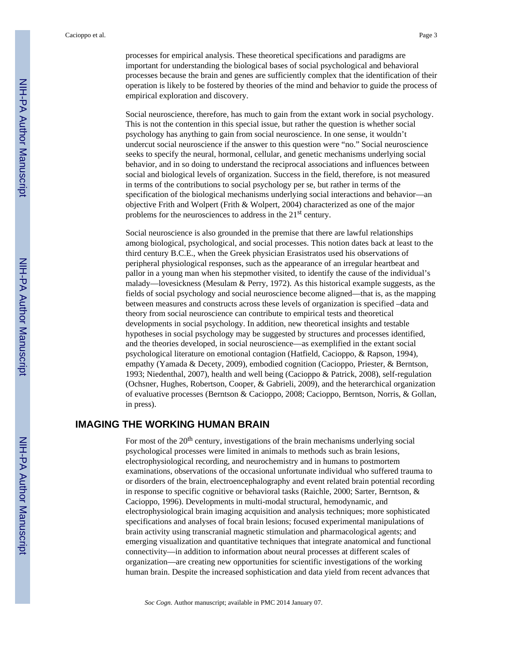processes for empirical analysis. These theoretical specifications and paradigms are important for understanding the biological bases of social psychological and behavioral processes because the brain and genes are sufficiently complex that the identification of their operation is likely to be fostered by theories of the mind and behavior to guide the process of empirical exploration and discovery.

Social neuroscience, therefore, has much to gain from the extant work in social psychology. This is not the contention in this special issue, but rather the question is whether social psychology has anything to gain from social neuroscience. In one sense, it wouldn't undercut social neuroscience if the answer to this question were "no." Social neuroscience seeks to specify the neural, hormonal, cellular, and genetic mechanisms underlying social behavior, and in so doing to understand the reciprocal associations and influences between social and biological levels of organization. Success in the field, therefore, is not measured in terms of the contributions to social psychology per se, but rather in terms of the specification of the biological mechanisms underlying social interactions and behavior—an objective Frith and Wolpert (Frith & Wolpert, 2004) characterized as one of the major problems for the neurosciences to address in the 21<sup>st</sup> century.

Social neuroscience is also grounded in the premise that there are lawful relationships among biological, psychological, and social processes. This notion dates back at least to the third century B.C.E., when the Greek physician Erasistratos used his observations of peripheral physiological responses, such as the appearance of an irregular heartbeat and pallor in a young man when his stepmother visited, to identify the cause of the individual's malady—lovesickness (Mesulam  $\&$  Perry, 1972). As this historical example suggests, as the fields of social psychology and social neuroscience become aligned—that is, as the mapping between measures and constructs across these levels of organization is specified –data and theory from social neuroscience can contribute to empirical tests and theoretical developments in social psychology. In addition, new theoretical insights and testable hypotheses in social psychology may be suggested by structures and processes identified, and the theories developed, in social neuroscience—as exemplified in the extant social psychological literature on emotional contagion (Hatfield, Cacioppo, & Rapson, 1994), empathy (Yamada & Decety, 2009), embodied cognition (Cacioppo, Priester, & Berntson, 1993; Niedenthal, 2007), health and well being (Cacioppo & Patrick, 2008), self-regulation (Ochsner, Hughes, Robertson, Cooper, & Gabrieli, 2009), and the heterarchical organization of evaluative processes (Berntson & Cacioppo, 2008; Cacioppo, Berntson, Norris, & Gollan, in press).

#### **IMAGING THE WORKING HUMAN BRAIN**

For most of the 20<sup>th</sup> century, investigations of the brain mechanisms underlying social psychological processes were limited in animals to methods such as brain lesions, electrophysiological recording, and neurochemistry and in humans to postmortem examinations, observations of the occasional unfortunate individual who suffered trauma to or disorders of the brain, electroencephalography and event related brain potential recording in response to specific cognitive or behavioral tasks (Raichle, 2000; Sarter, Berntson, & Cacioppo, 1996). Developments in multi-modal structural, hemodynamic, and electrophysiological brain imaging acquisition and analysis techniques; more sophisticated specifications and analyses of focal brain lesions; focused experimental manipulations of brain activity using transcranial magnetic stimulation and pharmacological agents; and emerging visualization and quantitative techniques that integrate anatomical and functional connectivity—in addition to information about neural processes at different scales of organization—are creating new opportunities for scientific investigations of the working human brain. Despite the increased sophistication and data yield from recent advances that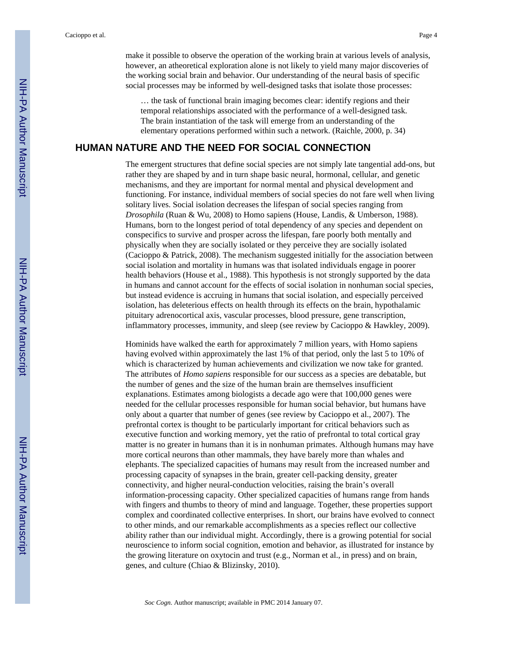make it possible to observe the operation of the working brain at various levels of analysis, however, an atheoretical exploration alone is not likely to yield many major discoveries of the working social brain and behavior. Our understanding of the neural basis of specific social processes may be informed by well-designed tasks that isolate those processes:

… the task of functional brain imaging becomes clear: identify regions and their temporal relationships associated with the performance of a well-designed task. The brain instantiation of the task will emerge from an understanding of the elementary operations performed within such a network. (Raichle, 2000, p. 34)

#### **HUMAN NATURE AND THE NEED FOR SOCIAL CONNECTION**

The emergent structures that define social species are not simply late tangential add-ons, but rather they are shaped by and in turn shape basic neural, hormonal, cellular, and genetic mechanisms, and they are important for normal mental and physical development and functioning. For instance, individual members of social species do not fare well when living solitary lives. Social isolation decreases the lifespan of social species ranging from *Drosophila* (Ruan & Wu, 2008) to Homo sapiens (House, Landis, & Umberson, 1988). Humans, born to the longest period of total dependency of any species and dependent on conspecifics to survive and prosper across the lifespan, fare poorly both mentally and physically when they are socially isolated or they perceive they are socially isolated (Cacioppo & Patrick, 2008). The mechanism suggested initially for the association between social isolation and mortality in humans was that isolated individuals engage in poorer health behaviors (House et al., 1988). This hypothesis is not strongly supported by the data in humans and cannot account for the effects of social isolation in nonhuman social species, but instead evidence is accruing in humans that social isolation, and especially perceived isolation, has deleterious effects on health through its effects on the brain, hypothalamic pituitary adrenocortical axis, vascular processes, blood pressure, gene transcription, inflammatory processes, immunity, and sleep (see review by Cacioppo & Hawkley, 2009).

Hominids have walked the earth for approximately 7 million years, with Homo sapiens having evolved within approximately the last 1% of that period, only the last 5 to 10% of which is characterized by human achievements and civilization we now take for granted. The attributes of *Homo sapiens* responsible for our success as a species are debatable, but the number of genes and the size of the human brain are themselves insufficient explanations. Estimates among biologists a decade ago were that 100,000 genes were needed for the cellular processes responsible for human social behavior, but humans have only about a quarter that number of genes (see review by Cacioppo et al., 2007). The prefrontal cortex is thought to be particularly important for critical behaviors such as executive function and working memory, yet the ratio of prefrontal to total cortical gray matter is no greater in humans than it is in nonhuman primates. Although humans may have more cortical neurons than other mammals, they have barely more than whales and elephants. The specialized capacities of humans may result from the increased number and processing capacity of synapses in the brain, greater cell-packing density, greater connectivity, and higher neural-conduction velocities, raising the brain's overall information-processing capacity. Other specialized capacities of humans range from hands with fingers and thumbs to theory of mind and language. Together, these properties support complex and coordinated collective enterprises. In short, our brains have evolved to connect to other minds, and our remarkable accomplishments as a species reflect our collective ability rather than our individual might. Accordingly, there is a growing potential for social neuroscience to inform social cognition, emotion and behavior, as illustrated for instance by the growing literature on oxytocin and trust (e.g., Norman et al., in press) and on brain, genes, and culture (Chiao & Blizinsky, 2010).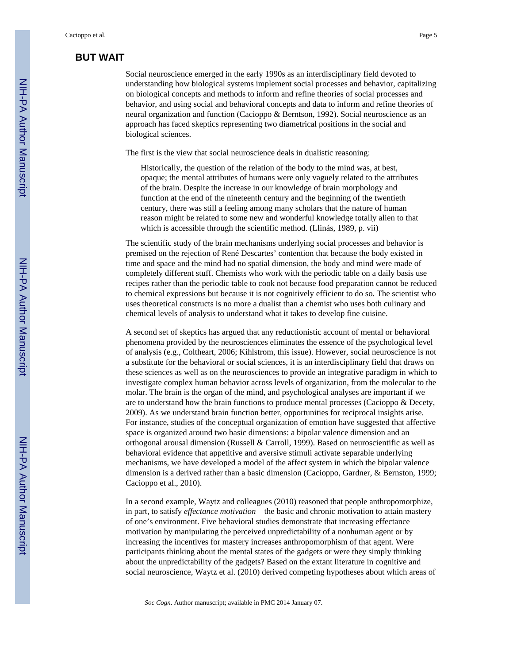## **BUT WAIT**

Social neuroscience emerged in the early 1990s as an interdisciplinary field devoted to understanding how biological systems implement social processes and behavior, capitalizing on biological concepts and methods to inform and refine theories of social processes and behavior, and using social and behavioral concepts and data to inform and refine theories of neural organization and function (Cacioppo & Berntson, 1992). Social neuroscience as an approach has faced skeptics representing two diametrical positions in the social and biological sciences.

The first is the view that social neuroscience deals in dualistic reasoning:

Historically, the question of the relation of the body to the mind was, at best, opaque; the mental attributes of humans were only vaguely related to the attributes of the brain. Despite the increase in our knowledge of brain morphology and function at the end of the nineteenth century and the beginning of the twentieth century, there was still a feeling among many scholars that the nature of human reason might be related to some new and wonderful knowledge totally alien to that which is accessible through the scientific method. (Llinás, 1989, p. vii)

The scientific study of the brain mechanisms underlying social processes and behavior is premised on the rejection of René Descartes' contention that because the body existed in time and space and the mind had no spatial dimension, the body and mind were made of completely different stuff. Chemists who work with the periodic table on a daily basis use recipes rather than the periodic table to cook not because food preparation cannot be reduced to chemical expressions but because it is not cognitively efficient to do so. The scientist who uses theoretical constructs is no more a dualist than a chemist who uses both culinary and chemical levels of analysis to understand what it takes to develop fine cuisine.

A second set of skeptics has argued that any reductionistic account of mental or behavioral phenomena provided by the neurosciences eliminates the essence of the psychological level of analysis (e.g., Coltheart, 2006; Kihlstrom, this issue). However, social neuroscience is not a substitute for the behavioral or social sciences, it is an interdisciplinary field that draws on these sciences as well as on the neurosciences to provide an integrative paradigm in which to investigate complex human behavior across levels of organization, from the molecular to the molar. The brain is the organ of the mind, and psychological analyses are important if we are to understand how the brain functions to produce mental processes (Cacioppo & Decety, 2009). As we understand brain function better, opportunities for reciprocal insights arise. For instance, studies of the conceptual organization of emotion have suggested that affective space is organized around two basic dimensions: a bipolar valence dimension and an orthogonal arousal dimension (Russell & Carroll, 1999). Based on neuroscientific as well as behavioral evidence that appetitive and aversive stimuli activate separable underlying mechanisms, we have developed a model of the affect system in which the bipolar valence dimension is a derived rather than a basic dimension (Cacioppo, Gardner, & Bernston, 1999; Cacioppo et al., 2010).

In a second example, Waytz and colleagues (2010) reasoned that people anthropomorphize, in part, to satisfy *effectance motivation*—the basic and chronic motivation to attain mastery of one's environment. Five behavioral studies demonstrate that increasing effectance motivation by manipulating the perceived unpredictability of a nonhuman agent or by increasing the incentives for mastery increases anthropomorphism of that agent. Were participants thinking about the mental states of the gadgets or were they simply thinking about the unpredictability of the gadgets? Based on the extant literature in cognitive and social neuroscience, Waytz et al. (2010) derived competing hypotheses about which areas of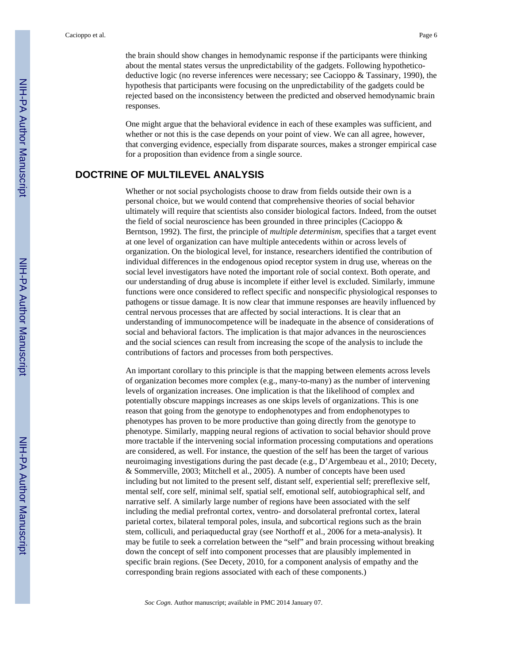One might argue that the behavioral evidence in each of these examples was sufficient, and whether or not this is the case depends on your point of view. We can all agree, however, that converging evidence, especially from disparate sources, makes a stronger empirical case for a proposition than evidence from a single source.

#### **DOCTRINE OF MULTILEVEL ANALYSIS**

Whether or not social psychologists choose to draw from fields outside their own is a personal choice, but we would contend that comprehensive theories of social behavior ultimately will require that scientists also consider biological factors. Indeed, from the outset the field of social neuroscience has been grounded in three principles (Cacioppo & Berntson, 1992). The first, the principle of *multiple determinism,* specifies that a target event at one level of organization can have multiple antecedents within or across levels of organization. On the biological level, for instance, researchers identified the contribution of individual differences in the endogenous opiod receptor system in drug use, whereas on the social level investigators have noted the important role of social context. Both operate, and our understanding of drug abuse is incomplete if either level is excluded. Similarly, immune functions were once considered to reflect specific and nonspecific physiological responses to pathogens or tissue damage. It is now clear that immune responses are heavily influenced by central nervous processes that are affected by social interactions. It is clear that an understanding of immunocompetence will be inadequate in the absence of considerations of social and behavioral factors. The implication is that major advances in the neurosciences and the social sciences can result from increasing the scope of the analysis to include the contributions of factors and processes from both perspectives.

An important corollary to this principle is that the mapping between elements across levels of organization becomes more complex (e.g., many-to-many) as the number of intervening levels of organization increases. One implication is that the likelihood of complex and potentially obscure mappings increases as one skips levels of organizations. This is one reason that going from the genotype to endophenotypes and from endophenotypes to phenotypes has proven to be more productive than going directly from the genotype to phenotype. Similarly, mapping neural regions of activation to social behavior should prove more tractable if the intervening social information processing computations and operations are considered, as well. For instance, the question of the self has been the target of various neuroimaging investigations during the past decade (e.g., D'Argembeau et al., 2010; Decety, & Sommerville, 2003; Mitchell et al., 2005). A number of concepts have been used including but not limited to the present self, distant self, experiential self; prereflexive self, mental self, core self, minimal self, spatial self, emotional self, autobiographical self, and narrative self. A similarly large number of regions have been associated with the self including the medial prefrontal cortex, ventro- and dorsolateral prefrontal cortex, lateral parietal cortex, bilateral temporal poles, insula, and subcortical regions such as the brain stem, colliculi, and periaqueductal gray (see Northoff et al., 2006 for a meta-analysis). It may be futile to seek a correlation between the "self" and brain processing without breaking down the concept of self into component processes that are plausibly implemented in specific brain regions. (See Decety, 2010, for a component analysis of empathy and the corresponding brain regions associated with each of these components.)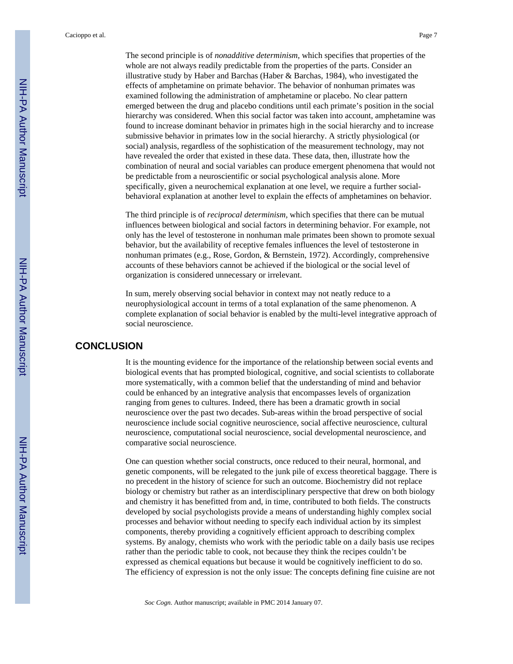The second principle is of *nonadditive determinism*, which specifies that properties of the whole are not always readily predictable from the properties of the parts. Consider an illustrative study by Haber and Barchas (Haber & Barchas, 1984), who investigated the effects of amphetamine on primate behavior. The behavior of nonhuman primates was examined following the administration of amphetamine or placebo. No clear pattern emerged between the drug and placebo conditions until each primate's position in the social hierarchy was considered. When this social factor was taken into account, amphetamine was found to increase dominant behavior in primates high in the social hierarchy and to increase submissive behavior in primates low in the social hierarchy. A strictly physiological (or social) analysis, regardless of the sophistication of the measurement technology, may not have revealed the order that existed in these data. These data, then, illustrate how the combination of neural and social variables can produce emergent phenomena that would not be predictable from a neuroscientific or social psychological analysis alone. More specifically, given a neurochemical explanation at one level, we require a further socialbehavioral explanation at another level to explain the effects of amphetamines on behavior.

The third principle is of *reciprocal determinism,* which specifies that there can be mutual influences between biological and social factors in determining behavior. For example, not only has the level of testosterone in nonhuman male primates been shown to promote sexual behavior, but the availability of receptive females influences the level of testosterone in nonhuman primates (e.g., Rose, Gordon, & Bernstein, 1972). Accordingly, comprehensive accounts of these behaviors cannot be achieved if the biological or the social level of organization is considered unnecessary or irrelevant.

In sum, merely observing social behavior in context may not neatly reduce to a neurophysiological account in terms of a total explanation of the same phenomenon. A complete explanation of social behavior is enabled by the multi-level integrative approach of social neuroscience.

#### **CONCLUSION**

It is the mounting evidence for the importance of the relationship between social events and biological events that has prompted biological, cognitive, and social scientists to collaborate more systematically, with a common belief that the understanding of mind and behavior could be enhanced by an integrative analysis that encompasses levels of organization ranging from genes to cultures. Indeed, there has been a dramatic growth in social neuroscience over the past two decades. Sub-areas within the broad perspective of social neuroscience include social cognitive neuroscience, social affective neuroscience, cultural neuroscience, computational social neuroscience, social developmental neuroscience, and comparative social neuroscience.

One can question whether social constructs, once reduced to their neural, hormonal, and genetic components, will be relegated to the junk pile of excess theoretical baggage. There is no precedent in the history of science for such an outcome. Biochemistry did not replace biology or chemistry but rather as an interdisciplinary perspective that drew on both biology and chemistry it has benefitted from and, in time, contributed to both fields. The constructs developed by social psychologists provide a means of understanding highly complex social processes and behavior without needing to specify each individual action by its simplest components, thereby providing a cognitively efficient approach to describing complex systems. By analogy, chemists who work with the periodic table on a daily basis use recipes rather than the periodic table to cook, not because they think the recipes couldn't be expressed as chemical equations but because it would be cognitively inefficient to do so. The efficiency of expression is not the only issue: The concepts defining fine cuisine are not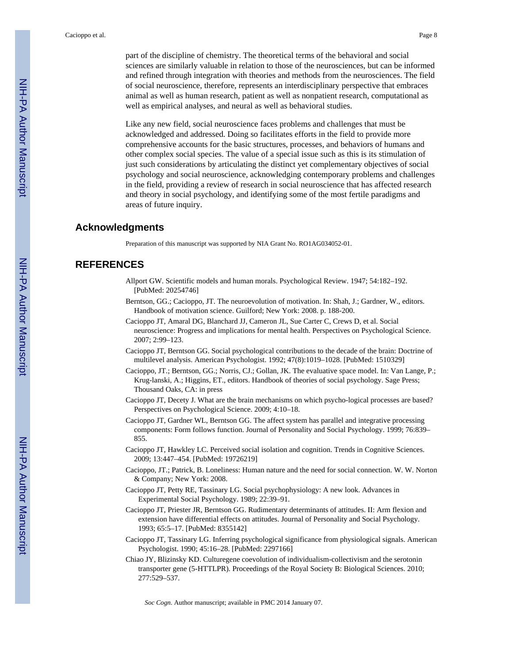part of the discipline of chemistry. The theoretical terms of the behavioral and social sciences are similarly valuable in relation to those of the neurosciences, but can be informed and refined through integration with theories and methods from the neurosciences. The field of social neuroscience, therefore, represents an interdisciplinary perspective that embraces animal as well as human research, patient as well as nonpatient research, computational as well as empirical analyses, and neural as well as behavioral studies.

Like any new field, social neuroscience faces problems and challenges that must be acknowledged and addressed. Doing so facilitates efforts in the field to provide more comprehensive accounts for the basic structures, processes, and behaviors of humans and other complex social species. The value of a special issue such as this is its stimulation of just such considerations by articulating the distinct yet complementary objectives of social psychology and social neuroscience, acknowledging contemporary problems and challenges in the field, providing a review of research in social neuroscience that has affected research and theory in social psychology, and identifying some of the most fertile paradigms and areas of future inquiry.

#### **Acknowledgments**

Preparation of this manuscript was supported by NIA Grant No. RO1AG034052-01.

#### **REFERENCES**

- Allport GW. Scientific models and human morals. Psychological Review. 1947; 54:182–192. [PubMed: 20254746]
- Berntson, GG.; Cacioppo, JT. The neuroevolution of motivation. In: Shah, J.; Gardner, W., editors. Handbook of motivation science. Guilford; New York: 2008. p. 188-200.
- Cacioppo JT, Amaral DG, Blanchard JJ, Cameron JL, Sue Carter C, Crews D, et al. Social neuroscience: Progress and implications for mental health. Perspectives on Psychological Science. 2007; 2:99–123.
- Cacioppo JT, Berntson GG. Social psychological contributions to the decade of the brain: Doctrine of multilevel analysis. American Psychologist. 1992; 47(8):1019–1028. [PubMed: 1510329]
- Cacioppo, JT.; Berntson, GG.; Norris, CJ.; Gollan, JK. The evaluative space model. In: Van Lange, P.; Krug-lanski, A.; Higgins, ET., editors. Handbook of theories of social psychology. Sage Press; Thousand Oaks, CA: in press
- Cacioppo JT, Decety J. What are the brain mechanisms on which psycho-logical processes are based? Perspectives on Psychological Science. 2009; 4:10–18.
- Cacioppo JT, Gardner WL, Berntson GG. The affect system has parallel and integrative processing components: Form follows function. Journal of Personality and Social Psychology. 1999; 76:839– 855.
- Cacioppo JT, Hawkley LC. Perceived social isolation and cognition. Trends in Cognitive Sciences. 2009; 13:447–454. [PubMed: 19726219]
- Cacioppo, JT.; Patrick, B. Loneliness: Human nature and the need for social connection. W. W. Norton & Company; New York: 2008.
- Cacioppo JT, Petty RE, Tassinary LG. Social psychophysiology: A new look. Advances in Experimental Social Psychology. 1989; 22:39–91.
- Cacioppo JT, Priester JR, Berntson GG. Rudimentary determinants of attitudes. II: Arm flexion and extension have differential effects on attitudes. Journal of Personality and Social Psychology. 1993; 65:5–17. [PubMed: 8355142]
- Cacioppo JT, Tassinary LG. Inferring psychological significance from physiological signals. American Psychologist. 1990; 45:16–28. [PubMed: 2297166]
- Chiao JY, Blizinsky KD. Culturegene coevolution of individualism-collectivism and the serotonin transporter gene (5-HTTLPR). Proceedings of the Royal Society B: Biological Sciences. 2010; 277:529–537.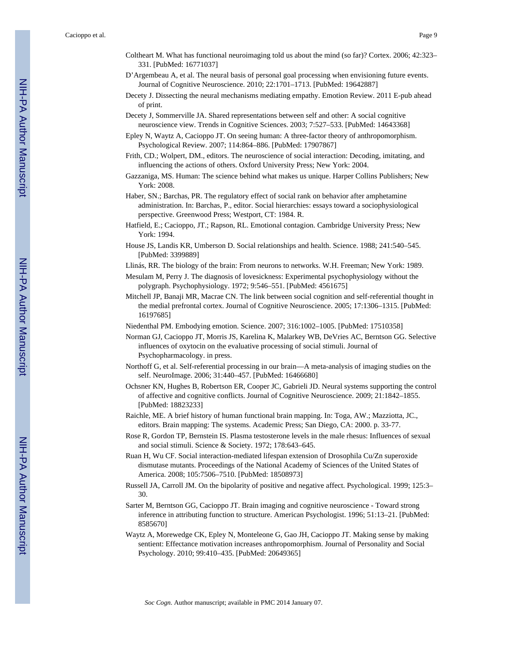Cacioppo et al. Page 9

- Coltheart M. What has functional neuroimaging told us about the mind (so far)? Cortex. 2006; 42:323– 331. [PubMed: 16771037]
- D'Argembeau A, et al. The neural basis of personal goal processing when envisioning future events. Journal of Cognitive Neuroscience. 2010; 22:1701–1713. [PubMed: 19642887]
- Decety J. Dissecting the neural mechanisms mediating empathy. Emotion Review. 2011 E-pub ahead of print.
- Decety J, Sommerville JA. Shared representations between self and other: A social cognitive neuroscience view. Trends in Cognitive Sciences. 2003; 7:527–533. [PubMed: 14643368]
- Epley N, Waytz A, Cacioppo JT. On seeing human: A three-factor theory of anthropomorphism. Psychological Review. 2007; 114:864–886. [PubMed: 17907867]
- Frith, CD.; Wolpert, DM., editors. The neuroscience of social interaction: Decoding, imitating, and influencing the actions of others. Oxford University Press; New York: 2004.
- Gazzaniga, MS. Human: The science behind what makes us unique. Harper Collins Publishers; New York: 2008.
- Haber, SN.; Barchas, PR. The regulatory effect of social rank on behavior after amphetamine administration. In: Barchas, P., editor. Social hierarchies: essays toward a sociophysiological perspective. Greenwood Press; Westport, CT: 1984. R.
- Hatfield, E.; Cacioppo, JT.; Rapson, RL. Emotional contagion. Cambridge University Press; New York: 1994.
- House JS, Landis KR, Umberson D. Social relationships and health. Science. 1988; 241:540–545. [PubMed: 3399889]
- Llinás, RR. The biology of the brain: From neurons to networks. W.H. Freeman; New York: 1989.
- Mesulam M, Perry J. The diagnosis of lovesickness: Experimental psychophysiology without the polygraph. Psychophysiology. 1972; 9:546–551. [PubMed: 4561675]
- Mitchell JP, Banaji MR, Macrae CN. The link between social cognition and self-referential thought in the medial prefrontal cortex. Journal of Cognitive Neuroscience. 2005; 17:1306–1315. [PubMed: 16197685]
- Niedenthal PM. Embodying emotion. Science. 2007; 316:1002–1005. [PubMed: 17510358]
- Norman GJ, Cacioppo JT, Morris JS, Karelina K, Malarkey WB, DeVries AC, Berntson GG. Selective influences of oxytocin on the evaluative processing of social stimuli. Journal of Psychopharmacology. in press.
- Northoff G, et al. Self-referential processing in our brain—A meta-analysis of imaging studies on the self. NeuroImage. 2006; 31:440–457. [PubMed: 16466680]
- Ochsner KN, Hughes B, Robertson ER, Cooper JC, Gabrieli JD. Neural systems supporting the control of affective and cognitive conflicts. Journal of Cognitive Neuroscience. 2009; 21:1842–1855. [PubMed: 18823233]
- Raichle, ME. A brief history of human functional brain mapping. In: Toga, AW.; Mazziotta, JC., editors. Brain mapping: The systems. Academic Press; San Diego, CA: 2000. p. 33-77.
- Rose R, Gordon TP, Bernstein IS. Plasma testosterone levels in the male rhesus: Influences of sexual and social stimuli. Science & Society. 1972; 178:643–645.
- Ruan H, Wu CF. Social interaction-mediated lifespan extension of Drosophila Cu/Zn superoxide dismutase mutants. Proceedings of the National Academy of Sciences of the United States of America. 2008; 105:7506–7510. [PubMed: 18508973]
- Russell JA, Carroll JM. On the bipolarity of positive and negative affect. Psychological. 1999; 125:3– 30.
- Sarter M, Berntson GG, Cacioppo JT. Brain imaging and cognitive neuroscience Toward strong inference in attributing function to structure. American Psychologist. 1996; 51:13–21. [PubMed: 8585670]
- Waytz A, Morewedge CK, Epley N, Monteleone G, Gao JH, Cacioppo JT. Making sense by making sentient: Effectance motivation increases anthropomorphism. Journal of Personality and Social Psychology. 2010; 99:410–435. [PubMed: 20649365]